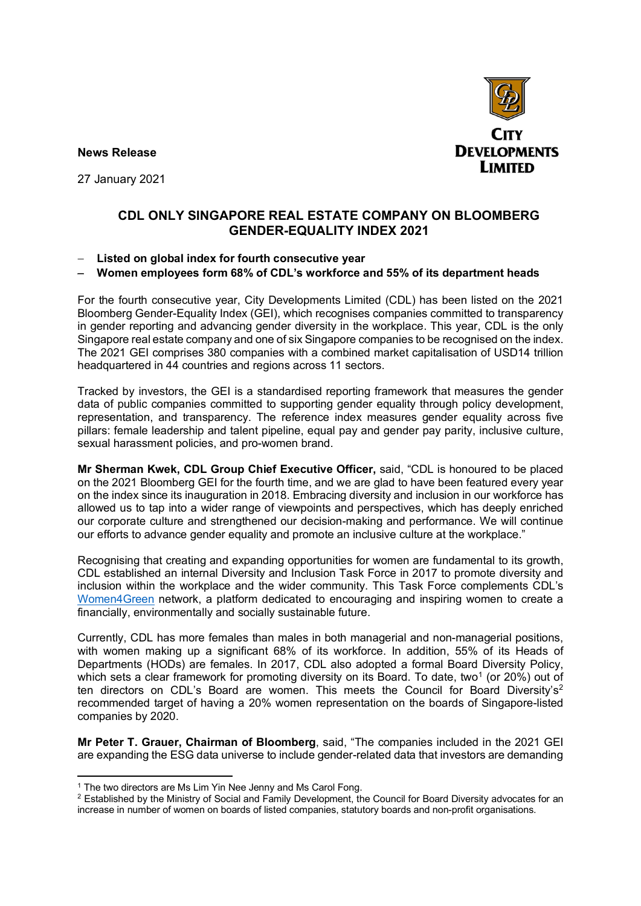**News Release** 



27 January 2021

## **CDL ONLY SINGAPORE REAL ESTATE COMPANY ON BLOOMBERG GENDER-EQUALITY INDEX 2021**

## − **Listed on global index for fourth consecutive year**

## − **Women employees form 68% of CDL's workforce and 55% of its department heads**

For the fourth consecutive year, City Developments Limited (CDL) has been listed on the 2021 Bloomberg Gender-Equality Index (GEI), which recognises companies committed to transparency in gender reporting and advancing gender diversity in the workplace. This year, CDL is the only Singapore real estate company and one of six Singapore companies to be recognised on the index. The 2021 GEI comprises 380 companies with a combined market capitalisation of USD14 trillion headquartered in 44 countries and regions across 11 sectors.

Tracked by investors, the GEI is a standardised reporting framework that measures the gender data of public companies committed to supporting gender equality through policy development, representation, and transparency. The reference index measures gender equality across five pillars: female leadership and talent pipeline, equal pay and gender pay parity, inclusive culture, sexual harassment policies, and pro-women brand.

**Mr Sherman Kwek, CDL Group Chief Executive Officer,** said, "CDL is honoured to be placed on the 2021 Bloomberg GEI for the fourth time, and we are glad to have been featured every year on the index since its inauguration in 2018. Embracing diversity and inclusion in our workforce has allowed us to tap into a wider range of viewpoints and perspectives, which has deeply enriched our corporate culture and strengthened our decision-making and performance. We will continue our efforts to advance gender equality and promote an inclusive culture at the workplace."

Recognising that creating and expanding opportunities for women are fundamental to its growth, CDL established an internal Diversity and Inclusion Task Force in 2017 to promote diversity and inclusion within the workplace and the wider community. This Task Force complements CDL's [Women4Green](http://cdlsustainability.com/sdg-stakeholder-partnerships/women4green/) network, a platform dedicated to encouraging and inspiring women to create a financially, environmentally and socially sustainable future.

Currently, CDL has more females than males in both managerial and non-managerial positions, with women making up a significant 68% of its workforce. In addition, 55% of its Heads of Departments (HODs) are females. In 2017, CDL also adopted a formal Board Diversity Policy, which sets a clear framework for promoting diversity on its Board. To date, two<sup>1</sup> (or 20%) out of ten directors on CDL's Board are women. This meets the Council for Board Diversity's<sup>2</sup> recommended target of having a 20% women representation on the boards of Singapore-listed companies by 2020.

**Mr Peter T. Grauer, Chairman of Bloomberg**, said, "The companies included in the 2021 GEI are expanding the ESG data universe to include gender-related data that investors are demanding

<sup>&</sup>lt;sup>1</sup> The two directors are Ms Lim Yin Nee Jenny and Ms Carol Fong.

<span id="page-0-1"></span><span id="page-0-0"></span><sup>&</sup>lt;sup>2</sup> Established by the Ministry of Social and Family Development, the Council for Board Diversity advocates for an increase in number of women on boards of listed companies, statutory boards and non-profit organisations.